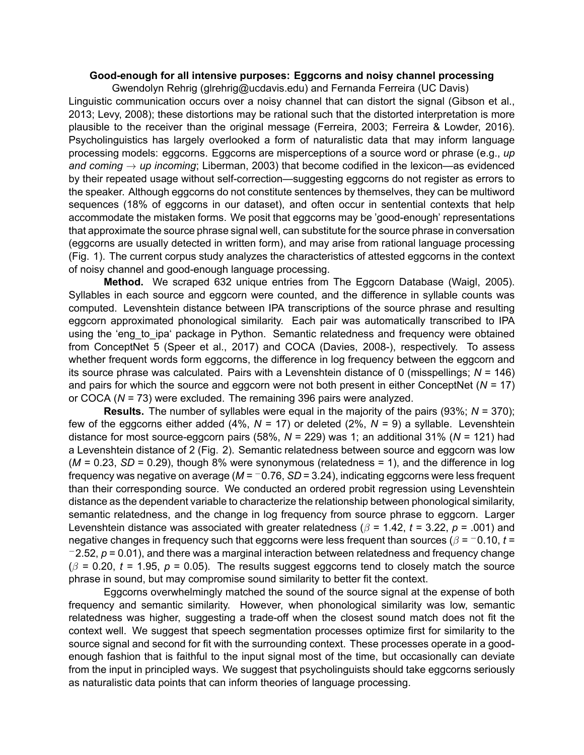## **Goodenough for all intensive purposes: Eggcorns and noisy channel processing**

Gwendolyn Rehrig([glrehrig@ucdavis.edu](mailto:glrehrig@ucdavis.edu)) and Fernanda Ferreira (UC Davis) Linguistic communication occurs over a noisy channel that can distort the signal (Gibson et al., 2013; Levy, 2008); these distortions may be rational such that the distorted interpretation is more plausible to the receiver than the original message (Ferreira, 2003; Ferreira & Lowder, 2016). Psycholinguistics has largely overlooked a form of naturalistic data that may inform language processing models: eggcorns. Eggcorns are misperceptions of a source word or phrase (e.g., *up and coming → up incoming*; Liberman, 2003) that become codified in the lexicon—as evidenced by their repeated usage without self-correction—suggesting eggcorns do not register as errors to the speaker. Although eggcorns do not constitute sentences by themselves, they can be multiword sequences (18% of eggcorns in our dataset), and often occur in sentential contexts that help accommodate the mistaken forms. We posit that eggcorns may be 'good-enough' representations that approximate the source phrase signal well, can substitute for the source phrase in conversation (eggcorns are usually detected in written form), and may arise from rational language processing (Fig. 1). The current corpus study analyzes the characteristics of attested eggcorns in the context of noisy channel and good-enough language processing.

**Method.** We scraped 632 unique entries from The Eggcorn Database (Waigl, 2005). Syllables in each source and eggcorn were counted, and the difference in syllable counts was computed. Levenshtein distance between IPA transcriptions of the source phrase and resulting eggcorn approximated phonological similarity. Each pair was automatically transcribed to IPA using the 'eng to ipa' package in Python. Semantic relatedness and frequency were obtained from ConceptNet 5 (Speer et al., 2017) and COCA (Davies, 2008-), respectively. To assess whether frequent words form eggcorns, the difference in log frequency between the eggcorn and its source phrase was calculated. Pairs with a Levenshtein distance of 0 (misspellings; *N* = 146) and pairs for which the source and eggcorn were not both present in either ConceptNet (*N* = 17) or COCA (*N* = 73) were excluded. The remaining 396 pairs were analyzed.

**Results.** The number of syllables were equal in the majority of the pairs (93%; *N* = 370); few of the eggcorns either added (4%, *N* = 17) or deleted (2%, *N* = 9) a syllable. Levenshtein distance for most source-eggcorn pairs (58%,  $N = 229$ ) was 1; an additional 31% ( $N = 121$ ) had a Levenshtein distance of 2 (Fig. 2). Semantic relatedness between source and eggcorn was low (*M* = 0.23, *SD* = 0.29), though 8% were synonymous (relatedness = 1), and the difference in log frequency was negative on average (*M* = *−*0.76, *SD* = 3.24), indicating eggcorns were less frequent than their corresponding source. We conducted an ordered probit regression using Levenshtein distance as the dependent variable to characterize the relationship between phonological similarity, semantic relatedness, and the change in log frequency from source phrase to eggcorn. Larger Levenshtein distance was associated with greater relatedness (*β* = 1.42, *t* = 3.22, *p* = .001) and negative changes in frequency such that eggcorns were less frequent than sources (*β* = *−*0.10, *t* = *−*2.52, *p* = 0.01), and there was a marginal interaction between relatedness and frequency change  $(\beta = 0.20, t = 1.95, p = 0.05)$ . The results suggest eggcorns tend to closely match the source phrase in sound, but may compromise sound similarity to better fit the context.

Eggcorns overwhelmingly matched the sound of the source signal at the expense of both frequency and semantic similarity. However, when phonological similarity was low, semantic relatedness was higher, suggesting a trade-off when the closest sound match does not fit the context well. We suggest that speech segmentation processes optimize first for similarity to the source signal and second for fit with the surrounding context. These processes operate in a goodenough fashion that is faithful to the input signal most of the time, but occasionally can deviate from the input in principled ways. We suggest that psycholinguists should take eggcorns seriously as naturalistic data points that can inform theories of language processing.